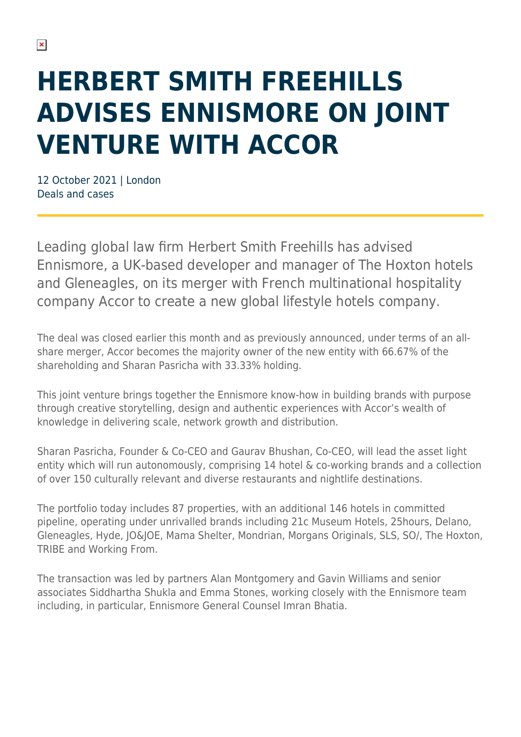## **HERBERT SMITH FREEHILLS ADVISES ENNISMORE ON JOINT VENTURE WITH ACCOR**

12 October 2021 | London Deals and cases

Leading global law firm Herbert Smith Freehills has advised Ennismore, a UK-based developer and manager of The Hoxton hotels and Gleneagles, on its merger with French multinational hospitality company Accor to create a new global lifestyle hotels company.

The deal was closed earlier this month and as previously announced, under terms of an allshare merger, Accor becomes the majority owner of the new entity with 66.67% of the shareholding and Sharan Pasricha with 33.33% holding.

This joint venture brings together the Ennismore know-how in building brands with purpose through creative storytelling, design and authentic experiences with Accor's wealth of knowledge in delivering scale, network growth and distribution.

Sharan Pasricha, Founder & Co-CEO and Gaurav Bhushan, Co-CEO, will lead the asset light entity which will run autonomously, comprising 14 hotel & co-working brands and a collection of over 150 culturally relevant and diverse restaurants and nightlife destinations.

The portfolio today includes 87 properties, with an additional 146 hotels in committed pipeline, operating under unrivalled brands including 21c Museum Hotels, 25hours, Delano, Gleneagles, Hyde, JO&JOE, Mama Shelter, Mondrian, Morgans Originals, SLS, SO/, The Hoxton, TRIBE and Working From.

The transaction was led by partners Alan Montgomery and Gavin Williams and senior associates Siddhartha Shukla and Emma Stones, working closely with the Ennismore team including, in particular, Ennismore General Counsel Imran Bhatia.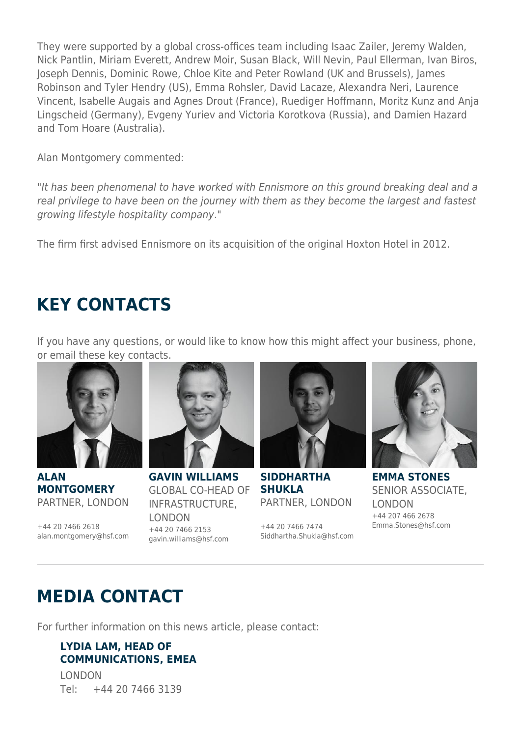They were supported by a global cross-offices team including Isaac Zailer, Jeremy Walden, Nick Pantlin, Miriam Everett, Andrew Moir, Susan Black, Will Nevin, Paul Ellerman, Ivan Biros, Joseph Dennis, Dominic Rowe, Chloe Kite and Peter Rowland (UK and Brussels), James Robinson and Tyler Hendry (US), Emma Rohsler, David Lacaze, Alexandra Neri, Laurence Vincent, Isabelle Augais and Agnes Drout (France), Ruediger Hoffmann, Moritz Kunz and Anja Lingscheid (Germany), Evgeny Yuriev and Victoria Korotkova (Russia), and Damien Hazard and Tom Hoare (Australia).

Alan Montgomery commented:

"It has been phenomenal to have worked with Ennismore on this ground breaking deal and a real privilege to have been on the journey with them as they become the largest and fastest growing lifestyle hospitality company."

The firm first advised Ennismore on its acquisition of the original Hoxton Hotel in 2012.

## **KEY CONTACTS**

If you have any questions, or would like to know how this might affect your business, phone, or email these key contacts.



**ALAN MONTGOMERY** PARTNER, LONDON

+44 20 7466 2618 alan.montgomery@hsf.com



**GAVIN WILLIAMS** GLOBAL CO-HEAD OF INFRASTRUCTURE, LONDON +44 20 7466 2153 gavin.williams@hsf.com



**SIDDHARTHA SHUKLA** PARTNER, LONDON

+44 20 7466 7474 Siddhartha.Shukla@hsf.com



**EMMA STONES** SENIOR ASSOCIATE, LONDON +44 207 466 2678 Emma.Stones@hsf.com

## **MEDIA CONTACT**

For further information on this news article, please contact:

## **LYDIA LAM, HEAD OF COMMUNICATIONS, EMEA**

LONDON Tel: +44 20 7466 3139